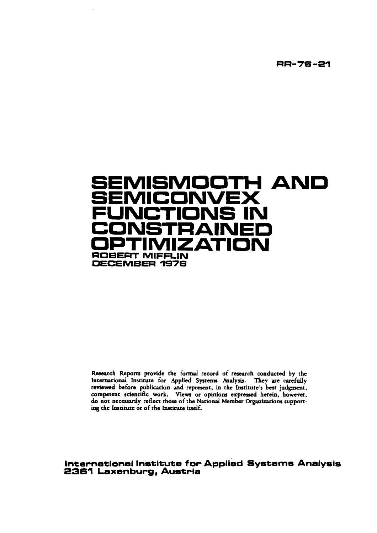**RR-76-21** 

# SEMISMOOTH AND SEMICONVEX **NS IN** T  $\Box$ ATIOI **ROBERT MIFFLIN** DECEMBER 1976

Research Reports provide the formal record of research conducted by the International Institute for Applied Systems Analysis. They are carefully reviewed before publication and represent, in the Institute's best judgment, ing the Institute or of the Institute itself.

International Institute for Applied Systems Analysis<br>2361 Laxenburg, Austria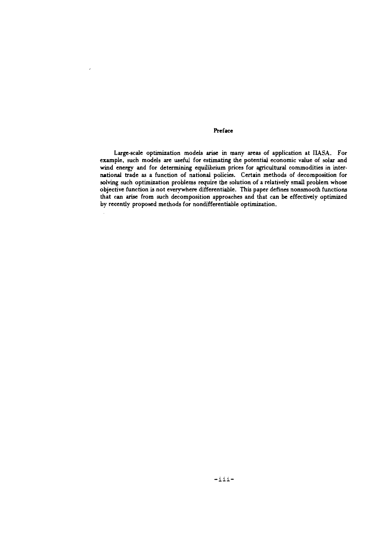# Preface

J.

Large-scale optimization models arise in many areas of application at **IIASA.** For example, such models are useful for estimating the potential economic value of solar **and wind** energy and for determining equilibrium prices for agricultural commodities in international trade as a function of national policies. Certain methods of decomposition for solving such optimization problems require the solution of a relatively small problem whose objective function is not everywhere differentiable. This paper defines nonsmooth functions that can **arise** from such decomposition approaches and that can be effectively optimized by recently proposed methods for nondifferentiable optimization.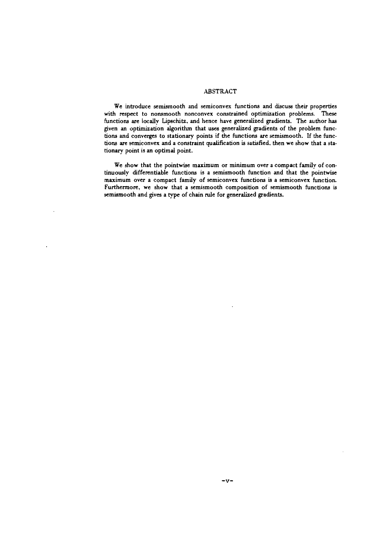# ABSTRACT

We introduce semismooth and semiconvex functions and discuss their properties with respect to nonsmooth nonconvex constrained optimization problems. These functions are locally Lipschitz. and hence have generalized gradients. The author has given an optimization algorithm that uses generalized gradients of the problem functions and converges to stationary points if the functions are semismooth. If the functions are semiconvex and a constraint qualification is satisfied. then we show that a stationary point is an optimal point.

We show that the pointwise maximum or minimum over a compact family of continuously differentiable functions is a semismooth function and that the pointwise maximum over a compact family of semiconvex functions is a semiconvex function. Furthennore. we show that a semismooth composition of semismooth functions is semismooth and gives a type of chain rule for generalized gradients.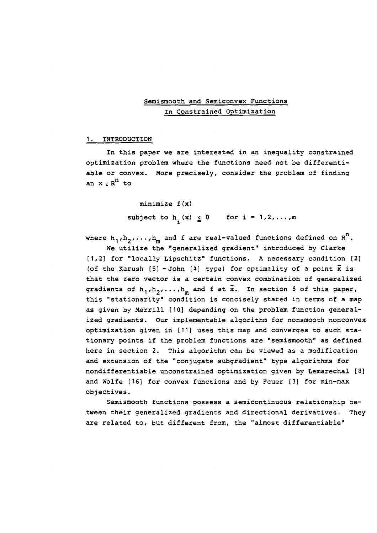# Semismooth and Semiconvex Functions In Constrained Optimization

## 1. INTRODUCTION

In this paper we are interested in an inequality constrained optimization problem where the functions need not be differentiable or convex. More precisely, consider the problem of finding an  $x \in R^n$  to

> minimize f (x) subject to  $h_i(x) \leq 0$  for  $i = 1, 2, ..., m$

where  $h_1, h_2, \ldots, h_m$  and f are real-valued functions defined on  $R^n$ .

We utilize the "generalized gradient" introduced by Clarke [1,2] for "locally Lipschitz" functions. **A** necessary condition [2) (of the Karush  $[5]$  - John  $[4]$  type) for optimality of a point  $\bar{x}$  is that the zero vector is a certain convex combination of generalized gradients of  $h_1, h_2, \ldots, h_m$  and f at  $\bar{x}$ . In section 5 of this paper, this "stationarity" condition is concisely stated in terms of a map as given by Merrill [lo] depending on the problem function generalized gradients. Our implementable algorithm for nonsnooth nonconvex optimization given in [Ill uses this map and converges to such stationary points if the problem functions are "semismooth" as defined here in section 2. This algorithm can be viewed as a modification and extension of the "conjugate subgradient" type algorithms for nondifferentiable unconstrained optimization given by Lemarechal [a] and Wolfe [ 161 for convex functions and by Feuer [3] for min-max objectives .

Semismooth functions possess a semicontinuous relationship between their generalized gradients and directional derivatives. They are related to, but different from, the "almost differentiable"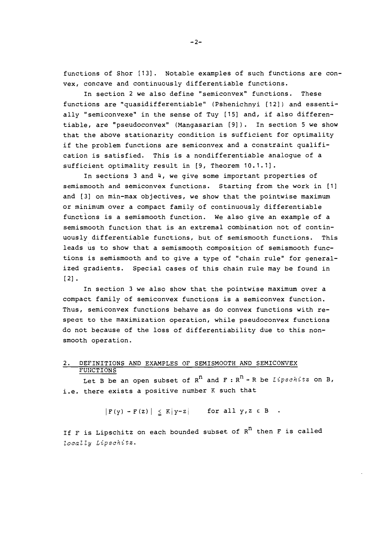functions of Shor [13]. Notable examples of such functions are convex, concave and continuously differentiable functions.

In section 2 we also define "semiconvex" functions. These functions are "quasidifferentiable" (Pshenichnyi [12]) and essentially "semiconvexe" in the sense of Tuy [15] and, if also differentiable, are "pseudoconvex" (Mangasarian [9]). In section 5 we show that the above stationarity condition is sufficient for optimality if the problem functions are semiconvex and a constraint qualification is satisfied. This is a nondifferentiable analogue of a sufficient optimality result in [9, Theorem 10.1.1].

In sections 3 and 4, we give some important properties of semismooth and semiconvex functions. Starting from the work in [I] and [3] on min-max objectives, we show that the pointwise maximum or minimum over a compact family of continuously differentiable functions is a semismooth function. We also give an example of a semismooth function that is an extremal combination not of continuously differentiable functions, but of semismooth functions. This leads us to show that a semismooth composition of semismooth functions is semismooth and to give a type of "chain rule" for generalized gradients. Special cases of this chain rule may be found in [21.

In section 3 we also show that the pointwise maximum over a compact family of semiconvex functions is a semiconvex function. Thus, semiconvex functions behave as do convex functions with respear to the maximization operation, while pseudoconvex functions do not because of the loss of differentiability due to this nonsmooth operation.

#### 2. DEFINITIONS AND EXAMPLES OF SEMISMOOTH AND SEMICONVEX FUNCTIONS

Let B be an open subset of  $R^n$  and  $F: R^n + R$  be *Lipschitz* on B, i.e. there exists a positive number K such that

 $|F(y) - F(z)| \leq K|y-z|$  for all  $y, z \in B$ .

If F is Lipschitz on each bounded subset of  $R^n$  then F is called ZocaZ Zy *Lipschitz.* 

 $-2-$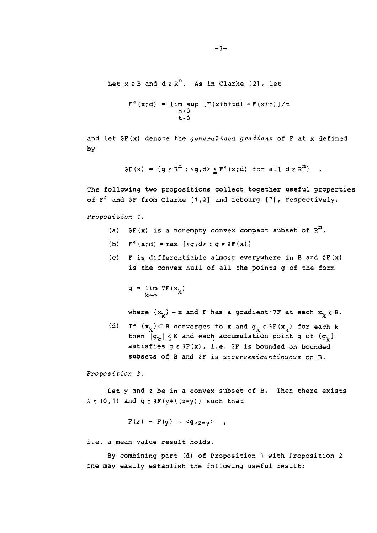Let  $x \in B$  and  $d \in R^n$ . As in Clarke [2], let

$$
F^{0}(x; d) = \lim_{h \to 0} \sup_{t \to 0} [F(x+h+td) - F(x+h)]/t
$$

and let aF(x) denote the **generaliaed gradient** of F at x defined by

 $\partial F(x) = \{g \in R^n : \langle g, d \rangle \leq F^0(x; d) \text{ for all } d \in R^n\}$ .

The following two propositions collect together useful properties of  $F^0$  and  $\partial F$  from Clarke [1,2] and Lebourg [7], respectively.

**Proposition I.** 

- (a)  $\partial F(x)$  is a nonempty convex compact subset of  $R^n$ .
- (b)  $F^0(x;d) = max \{ \langle q, d \rangle : q \in \partial F(x) \}$
- (c) F is differentiable almost everywhere in B and  $\partial F(x)$ is the convex hull of all the points g of the form

 $g = \lim_{k \to \infty} \nabla F(x_k)$ k+∞

where  $\{x_k\}$  + x and F has a gradient  $\nabla F$  at each  $x_k \in B$ .

(d) If  $\{x_k\} \subset B$  converges to x and  $g_k \in \partial F(x_k)$  for each k then  $|g_k| \leq K$  and each accumulation point g of  $\{g_k\}$ satisfies  $g \in \partial F(x)$ , i.e.  $\partial F$  is bounded on bounded subsets of B and aF is **uppersemicontinuous** on 9.

**Proposition 2.** 

Let y and z be in a convex subset of B. Then there exists  $\lambda \in (0, 1)$  and  $g \in \partial F(y + \lambda (z - y))$  such that

$$
F(z) - F(y) = \langle g_{z-1}z-y \rangle ,
$$

i.e. a mean value result holds.

By combining part (d) of Proposition 1 with Proposition 2 one may easily establish the following useful result: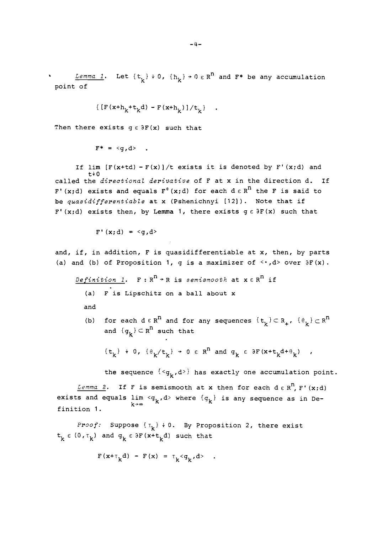*Lemma 1*. Let  $\{t_k\}$  + 0,  $\{h_k\}$  + 0  $\in$  R<sup>n</sup> and F<sup>\*</sup> be any accumulation point of

$$
\{ [F(x+h_k+t_k d) - F(x+h_k)]/t_k \} \quad .
$$

Then there exists  $g \in \partial F(x)$  such that

$$
F^* = \langle g, d \rangle
$$

If  $\lim_{t \to 0}$  [F(x+td) - F(x)]/t exists it is denoted by F'(x;d) and t+ **0**  called the **directional derivative** of F at x in the direction d. If F'(x;d) exists and equals  $F^0$ (x;d) for each  $d \in R^n$  the F is said to be **quasidifferentiable** at x (Pshenichnyi [12] ). Note that if  $F' (x;d)$  exists then, by Lemma 1, there exists  $g \in \partial F(x)$  such that

 $F'(x;d) = \langle q, d \rangle$ 

and, if, in addition, F is quasidifferentiable at x, then, by parts (a) and (b) of Proposition 1, g is a maximizer of  $\leq$   $\cdot$ , d> over  $\partial F(x)$ .

 $Definition 1.$  **F** :  $R^n$  + R is semismooth at  $x \in R^n$  if (a) F is Lipschitz on a ball about x

and

(b) for each  $d \in R^n$  and for any sequences  $\{t_k\} \subset R_+$ ,  $\{\theta_k\} \subset R^n$ and  ${g_k} \subset R^n$  such that

 $\{t_k\} + 0$ ,  $\{\theta_k/t_k\} + 0 \in R^n$  and  $g_k \in \partial F(x+t_kd+\theta_k)$ ,

the sequence  $\{<\mathbf{g}_k,\mathbf{d}>\}$  has exactly one accumulation point.

*Lemma 2.* If F is semismooth at x then for each  $d \in R^n$ , F' (x;d) exists and equals  $\lim_{k\to\infty}$  <  $q_k$ , d> where  $\{q_k\}$  is any sequence as in Definition 1.

*Proof:* Suppose  $\{\tau_k\} \neq 0$ . By Proposition 2, there exist  $t_k \in (0, \tau_k)$  and  $g_k \in \partial F(x+t_k d)$  such that

$$
F(x+\tau_k d) - F(x) = \tau_k < g_k, d> .
$$

 $-4-$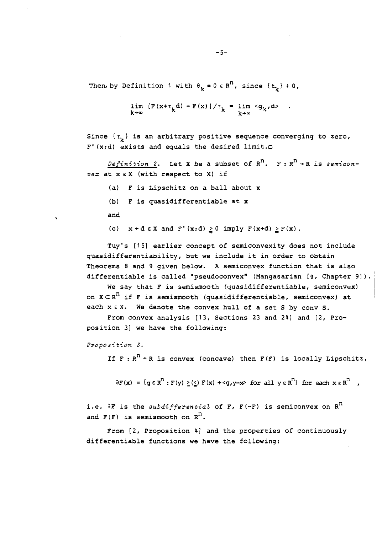Then, by Definition 1 with  $\theta_k = 0 \in R^n$ , since  $\{t_k\} + 0$ ,

$$
\lim_{k \to \infty} [F(x + \tau_k d) - F(x)] / \tau_k = \lim_{k \to \infty} \langle g_k, d \rangle .
$$

Since  $\{\tau_{\nu}\}\$  is an arbitrary positive sequence converging to zero,  $F'$  (x;d) exists and equals the desired limit. $\bigcirc$ 

*Definition 2.* Let X be a subset of  $R^n$ . F:  $R^n + R$  is *semiconvet* at x EX (with respect to X) if

- (a) F is Lipschitz on a ball about x
- (b) F is quasidifferentiable at x

and

 $\mathbf{v}$ 

(c)  $x + d \in X$  and  $F'(x;d) \ge 0$  imply  $F(x+d) \ge F(x)$ .

Tuy's [IS] earlier concept of semiconvexity does not include quasidifferentiability, but we include it in order to obtain Theorems 8 and 9 given below. **A** semiconvex function that is also differentiable is called "pseudoconvex" (Mangasarian [9, Chapter 9]).

We say that F is semismooth (quasidifferentiable, semiconvex) on  $X \subset R^n$  if F is semismooth (quasidifferentiable, semiconvex) at each x  $\epsilon$  X. We denote the convex hull of a set S by conv S.

From convex analysis (13, Sections 23 and 24) and [2, Proposition 31 we have the following:

Proposition 3.

If  $F : R^n \rightarrow R$  is convex (concave) then  $F(F)$  is locally Lipschitz,

 $\partial F(x) = \{g \in R^n : F(y) \geq (\leq) F(x) + \leq g, y-x \text{ for all } y \in R^n\}$  for each  $x \in R^n$ ,

i.e. **2F** is the *subdifferentia2* of F, F **(-F)** is semiconvex on R" and  $F(F)$  is semismooth on  $R<sup>n</sup>$ .

From [2, Proposition 4] and the properties of continuously differentiable functions we have the following: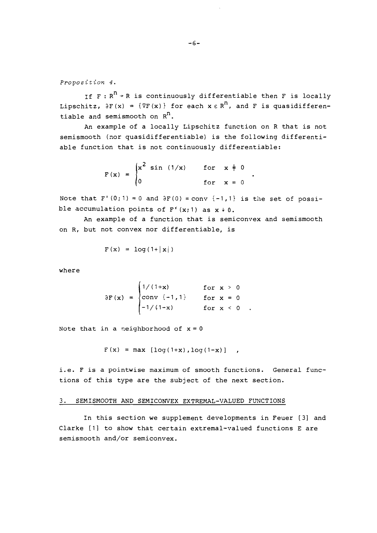*Proposition 4.* 

If  $F : R^n \rightarrow R$  is continuously differentiable then F is locally Lipschitz,  $\partial F(x) = \{\nabla F(x)\}\$  for each  $x \in \mathbb{R}^n$ , and F is quasidifferentiable and semismooth on  $R^n$ .

An example of a locally Lipschitz function on R that is not semismooth (nor quasidifferentiable) is the following differentiable function that is not continuously differentiable:

 $\bullet$ 

$$
F(x) = \begin{cases} x^2 \sin(1/x) & \text{for } x \neq 0 \\ 0 & \text{for } x = 0 \end{cases}
$$

Note that  $F'(0;1) = 0$  and  $\partial F(0) = conv(-1,1)$  is the set of possible accumulation points of  $F'(x;1)$  as  $x * 0$ .

An example of a function that is semiconvex and semismooth on R, but not convex nor differentiable, is

$$
F(x) = \log(1+|x|)
$$

where

$$
\partial F(x) = \begin{cases} 1/(1+x) & \text{for } x > 0 \\ \text{conv } \{-1, 1\} & \text{for } x = 0 \\ -1/(1-x) & \text{for } x < 0 \end{cases}
$$

Note that in a neighborhood of  $x = 0$ 

 $F(x) = max \left[ log(1+x), log(1-x) \right]$  ,

i.e. F is a pointwise maximum of smooth functions. General functions of this type are the subject of the next section.

# 3. SEMISMOOTH AND SEMICONVEX EXTREMAL-VALUED FUNCTIONS

In this section we supplement developments in Feuer [3] and Clarke [I] to show that certain extremal-valued functions E are semismooth and/or semiconvex.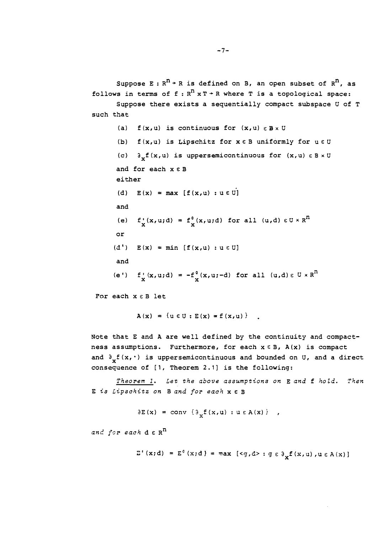Suppose E :  $R^n$  + R is defined on B, an open subset of  $R^n$ , as follows in terms of  $f : R^n \times T \rightarrow R$  where T is a topological space: Suppose there exists a sequentially compact subspace **U** of T such that (a)  $f(x,u)$  is continuous for  $(x,u) \in B \times U$ (b)  $f(x,u)$  is Lipschitz for  $x \in B$  uniformly for  $u \in U$ (c)  $\partial_{\mathbf{v}} \mathbf{f}(\mathbf{x}, \mathbf{u})$  is uppersemicontinuous for  $(\mathbf{x}, \mathbf{u}) \in \mathbf{B} \times \mathbf{U}$ 

and for each x **E** B either (d)  $E(x) = max [f(x,u) : u \in U]$ and (e)  $f''(x,u;d) = f^{0}(x,u;d)$  for all  $(u,d) \in U \times R^{n}$ or  $(d')$   $E(x) = min [f(x,u) : u \in U]$ and (e<sup>t</sup>)  $f'_x(x,u;d) = -f_x^0(x,u;-d)$  for all  $(u,d) \in U \times R^n$ 

For each  $x \in B$  let

 $A(x) = \{u \in U : E(x) = f(x, u)\}$ .

Note that **E** and A are well defined by the continuity and compactness assumptions. Furthermore, for each  $x \in B$ ,  $A(x)$  is compact and  $\partial_{\mathbf{y}} f(\mathbf{x}, \cdot)$  is upper semicontinuous and bounded on U, and a direct consequence of [I, Theorem **2.11** is the following:

*Theorem I. Let the above assumptions on* E *and* f *hold. Then*  **E** *is Lipschitz on* B *and for each x* **E** <sup>B</sup>

 $\partial E(x) = \text{conv } \{ \partial_{\mathbf{v}} f(x, \mathbf{u}) : \mathbf{u} \in A(x) \}$ ,

*and for each* d **E** R"

 $\Sigma'$  (x;d) =  $E^0$  (x;d) =  $\max$  [<g,d> :  $g \in \partial_x f(x, u)$ ,  $u \in A(x)$ ]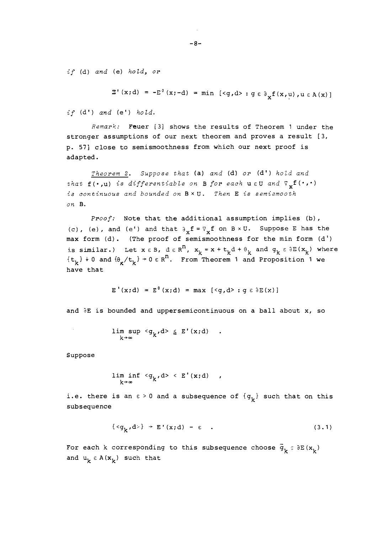*if* (d) *and* (e) *hold, or* 

$$
\mathbb{E}^{\top}(\mathbf{x};\mathbf{d}) = -\mathbb{E}^{\theta}(\mathbf{x};-\mathbf{d}) = \min \left[ \langle \mathbf{g}, \mathbf{d} \rangle : \mathbf{g} \in \partial_{\mathbf{x}} f(\mathbf{x}, \mathbf{u}), \mathbf{u} \in \mathbf{A}(\mathbf{x}) \right]
$$

*if* (d') *and* (e') *hold*.

*Remark:* Feuer [3] shows the results of Theorem 1 under the stronger assumptions of our next theorem and proves a result [3, p. **571** close to semismoothness from which our next proof is adapted.

*Theorem 2.* Suppose that (a) and (d) or (d') hold and *that*  $f(\cdot, u)$  *is differentiable on B for each uEU and*  $\nabla_{v} f(\cdot, \cdot)$ *is continuous and bounded on* BxU. *Then* E *is semismooth on* B.

*Proof:* Note that the additional assumption implies (b), (c), (e), and (e') and that  $\partial_{\mathbf{v}} \mathbf{f} = \nabla_{\mathbf{v}} \mathbf{f}$  on  $B \times U$ . Suppose E has the max form (d). (The proof of semismoothness for the min form (d') is similar.) Let  $x \in B$ ,  $d \in R^n$ ,  $x_k = x + t_k d + \theta_k$  and  $g_k \in \partial E(x_k)$  where  $\{t_{k}\}\nmid 0$  and  $\{\theta_{k}/t_{k}\}\nmid 0\in \mathbb{R}^{n}$ . From Theorem 1 and Proposition 1 we have that

$$
E'(x;d) = E0(x;d) = max [\langle g, d \rangle : g \in \partial E(x)]
$$

and  $\partial E$  is bounded and uppersemicontinuous on a ball about x, so

$$
\limsup_{k \to \infty} \langle g_k, d \rangle \leq E'(x; d) \quad .
$$

Suppose

$$
\liminf_{k\to\infty} \langle g_k, d\rangle \langle E'(x;d) \rangle,
$$

i.e. there is an  $\epsilon > 0$  and a subsequence of  $\{g_k\}$  such that on this subsequence

$$
\{\} \rightarrow E'(x; d) - \epsilon \quad . \tag{3.1}
$$

For each k corresponding to this subsequence choose  $\bar{g}_{\nu} \circ \partial E(x_{\nu})$ and  $u_k \in A(x_k)$  such that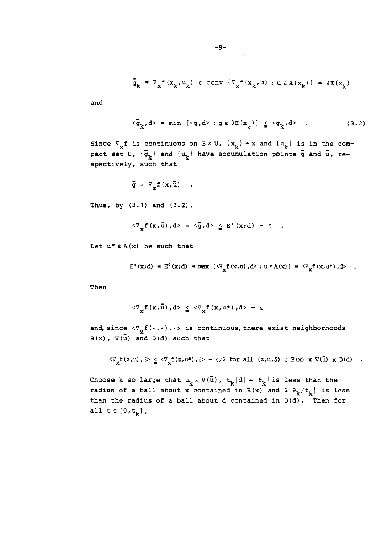$$
\overline{\mathfrak{g}}_k = \nabla_x f(x_k, u_k) \in \text{conv } \{ \nabla_x f(x_k, u) : u \in A(x_k) \} = \partial E(x_k)
$$

and

$$
\langle \bar{g}_{k}, d \rangle = \min \left[ \langle g, d \rangle : g \in \partial E(x_{k}) \right] \leq \langle g_{k}, d \rangle \quad . \tag{3.2}
$$

Since  $\nabla_{\mathbf{x}}\mathbf{f}$  is continuous on  $\mathbf{B}\times\mathbf{U}$ ,  $\{\mathbf{x_k}\}$  + x and  $\{\mathbf{u_k}\}$  is in the comsince  $\nabla_{\mathbf{x}} f$  is continuous on  $B \times U$ ,  $\{\mathbf{x}_k\} + \mathbf{x}$  and  $\{\mathbf{u}_k\}$  is in the con-<br>pact set U,  $\{\bar{\mathbf{g}}_k\}$  and  $\{\mathbf{u}_k\}$  have accumulation points  $\bar{g}$  and  $\bar{\mathbf{u}}$ , respectively, such that

$$
\vec{g} = \nabla_{\mathbf{v}} f(\mathbf{x}, \vec{u})
$$

Thus, by (3.1) and (3.2),

$$
\mathcal{F}_{\mathbf{v}}\mathbf{f}(\mathbf{x},\bar{\mathbf{u}}),\mathbf{d} \mathbf{v} = \mathbf{c}\mathbf{g},\mathbf{d} \mathbf{v} \leq \mathbf{E}^{\mathbf{v}}(\mathbf{x};\mathbf{d}) - \mathbf{c}
$$

Let  $u^* \in A(x)$  be such that

$$
E'(x;d) = E^{0}(x;d) = \max [\langle \nabla_x f(x,u), d \rangle : u \in A(x)] = \langle \nabla_x f(x,u^*), d \rangle
$$

Then

$$
\langle \nabla_{\mathbf{u}} \mathbf{f}(\mathbf{x}, \mathbf{u}), \mathbf{d} \rangle \le \langle \nabla_{\mathbf{u}} \mathbf{f}(\mathbf{x}, \mathbf{u^*}), \mathbf{d} \rangle - \varepsilon
$$

and, since  $\langle \nabla_{\mathbf{y}} f(\cdot,\cdot), \cdot \rangle$  is continuous, there exist neighborhoods  $B(x)$ ,  $V(\bar{u})$  and  $D(d)$  such that

$$
\langle \nabla_{\mathbf{y}} f(z, u), \delta \rangle \leq \langle \nabla_{\mathbf{y}} f(z, u^*), \delta \rangle - \epsilon/2 \text{ for all } (z, u, \delta) \in B(x) \times V(\bar{u}) \times D(d)
$$

Choose k so large that  $u_k \in V(\bar{u})$ ,  $t_k |d| + |\theta_k|$  is less than the radius of a ball about x contained in B(x) and  $2|\theta_k/t_k|$  is less than the radius of a ball about d contained in D(d). Then for all  $t \in [0, t_k]$ ,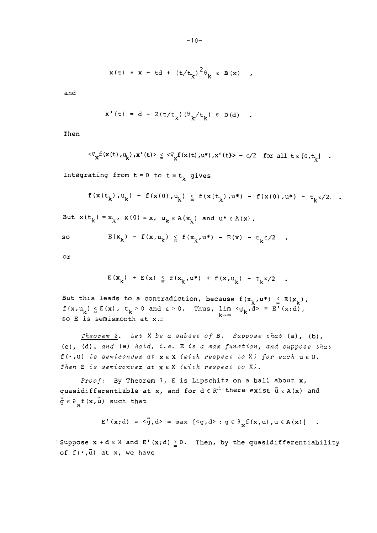$$
x(t) \equiv x + td + (t/t_k)^2 \theta_k \in B(x) ,
$$

and

$$
x'(t) = d + 2(t/t_k) (\theta_k/t_k) \in D(d) .
$$

Then

$$
\langle \nabla_{\mathbf{x}} f(\mathbf{x}(t), \mathbf{u}_k), \mathbf{x}'(t) \rangle \leq \langle \nabla_{\mathbf{x}} f(\mathbf{x}(t), \mathbf{u}^*), \mathbf{x}'(t) \rangle - \varepsilon/2 \text{ for all } t \in [0, t_k] .
$$

Integrating from  $t=0$  to  $t=t_k$  gives

$$
f(x(t_k), u_k) - f(x(0), u_k) \leq f(x(t_k), u^*) - f(x(0), u^*) - t_k \varepsilon/2.
$$

But  $x(t_k) = x_k$ ,  $x(0) = x$ ,  $u_k \in A(x_k)$  and  $u^* \in A(x)$ ,

so 
$$
E(x_k) - E(x, u_k) \leq E(x_k, u^*) - E(x) - t_k \epsilon/2
$$
,

or

$$
E(x_k) + E(x) \leq f(x_k, u^*) + f(x, u_k) - t_k \epsilon/2
$$

But this leads to a contradiction, because  $f(x_{k_1},u^*) \leq E(x_{k_1})$ ,  $f(x,u_k) \leq E(x)$ ,  $t_k > 0$  and  $\varepsilon > 0$ . Thus,  $\lim_{k \to \infty} \langle g_k, d \rangle = E'(x;d)$ ,  $k \to \infty$ 

*Theorem 3. Let* X *be a subset of* B. *Suppose that* (a), (b), (c), (d), *and* (el *hoid, i.e.* E *is a rnax function, and suppose that*  f **(a** ,u) *is semiconvez at* x E X *(with respect to* XI *for each* u E **U.**  *Then* **E** *?:s semiconvex at* XEX *(with respect to* XI.

*Proof:* By Theorem *1,* E is Lipschitz on a ball about x, quasidifferentiable at x, and for  $d \in R<sup>11</sup>$  there exist  $\bar{u} \in A(x)$  and  $\bar{g} \in \partial_{v} f(x, \bar{u})$  such that

$$
E' (x; d) = \langle \bar{g}, d \rangle = \max [\langle g, d \rangle : g \in \partial_x f(x, u), u \in A(x)]
$$
.

Suppose  $x + d \in X$  and  $E'(x;d) \ge 0$ . Then, by the quasidifferentiability of  $f(\cdot,\bar{u})$  at x, we have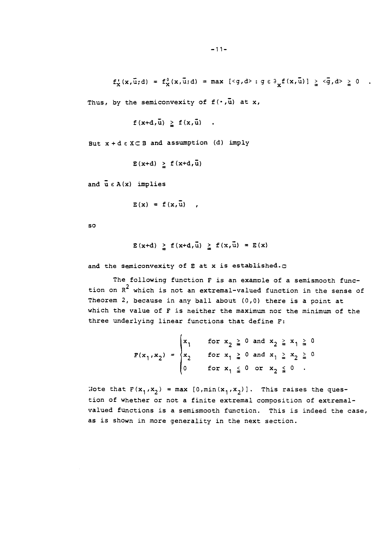$f'_x(x,\bar{u};d) = f'_x(x,\bar{u};d) = \max \{\langle g,d\rangle : g \in \partial_x f(x,\bar{u})\} \geq \langle \bar{g}, d\rangle \geq 0$ . Thus, by the semiconvexity of  $\texttt{f}(\boldsymbol{\cdot},\mathbf{\bar{u}})$  at  $\texttt{x}$ ,

$$
f(x+d,\bar{u}) \ge f(x,\bar{u})
$$
.

But  $x + d \in X \subset B$  and assumption (d) imply

```
E(x+d) \ge f(x+d,\bar{u})
```
and  $\bar{u} \in A(x)$  implies

```
E(x) = f(x, \overline{u}),
```
 $SO$ 

 $E(x+d) \geq f(x+d, \bar{u}) \geq f(x, \bar{u}) = E(x)$ 

and the semiconvexity of **E** at x is established.c

The following function F is an example of a semismooth function on  $R^2$  which is not an extremal-valued function in the sense of Theorem 2, because in any ball about  $(0,0)$  there is a point at which the value of F is neither the maximum nor the minimum of the three underlying linear functions that define **F:** 

> **I**   $F(x_1, x_2) =$  $x_1$  for  $x_2 \ge 0$  and  $x_2 \ge x_1 \ge 0$  $x_2$  for  $x_1 \ge 0$  and  $x_1 \ge x_2 \ge 0$ 0 for  $x_1 \leq 0$  or  $x_2 \leq 0$  .

Note that  $F(x_1, x_2) = max [0, min(x_1, x_2)]$ . This raises the question of whether or not a finite extremal composition of extremalvalued functions is a semismooth function. This is indeed the case, as is shown in more generality in the next section.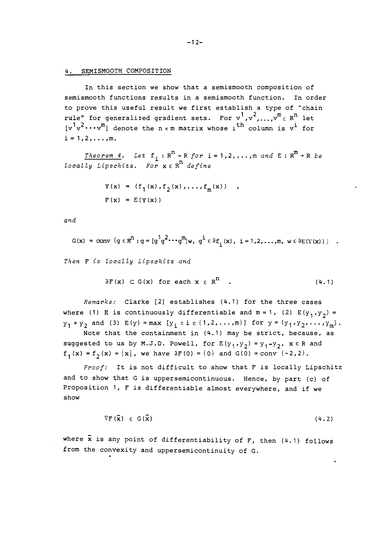### 4. SEMISMOOTH COMPOSITION

In this section we show that a semismooth composition of semismooth functions results in a semismooth function. In order to prove this useful result we first establish a type of "chain rule" for generalized gradient sets. For  $v^1, v^2, ..., v^m \in R^n$  let  $[v^1v^2 \cdots v^m]$  denote the  $n \times m$  matrix whose i<sup>th</sup> column is v<sup>i</sup> for  $i = 1, 2, \ldots, m$ .

Theorem 4. Let  $f_i: R^n \rightarrow R$  for  $i = 1, 2, ..., m$  and  $E: R^m \rightarrow R$  be locally Lipschitz. For  $x \in R^n$  define

$$
Y(x) = (f_1(x), f_2(x), \dots, f_m(x))
$$
  

$$
F(x) = E(Y(x))
$$

and

$$
G(x) = \text{conv} \{q \in \mathbb{R}^n : q = [q^1q^2 \cdots q^m]w, q^{\underline{i}} \in \partial f_{\underline{i}}(x), \underline{i} = 1, 2, \ldots, m, w \in \partial E(Y(x))\}.
$$

Then F is locally Lipschitz and

$$
\partial F(x) \subset G(x) \text{ for each } x \in R^n \quad . \tag{4.1}
$$

Remarks: Clarke [2] establishes (4.1) for the three cases where (1) E is continuously differentiable and  $m = 1$ , (2)  $E(y_1, y_2) =$  $y_1 + y_2$  and (3)  $E(y) = max [y_i : i \in \{1, 2, ..., m\}]$  for  $y = (y_1, y_2, ..., y_m)$ . Note that the containment in (4.1) may be strict, because, as suggested to us by M.J.D. Powell, for  $E(y_1, y_2) = y_1 - y_2$ ,  $x \in R$  and

 $f_1(x) = f_2(x) = |x|$ , we have  $\partial F(0) = \{0\}$  and  $G(0) = conv \{-2,2\}.$ 

Proof: It is not difficult to show that F is locally Lipschitz and to show that G is uppersemicontinuous. Hence, by part (c) of Proposition 1, F is differentiable almost everywhere, and if we show

> $\nabla F(\vec{x}) \in G(\vec{x})$  $(4.2)$

where  $\bar{x}$  is any point of differentiability of F, then (4.1) follows from the convexity and uppersemicontinuity of G.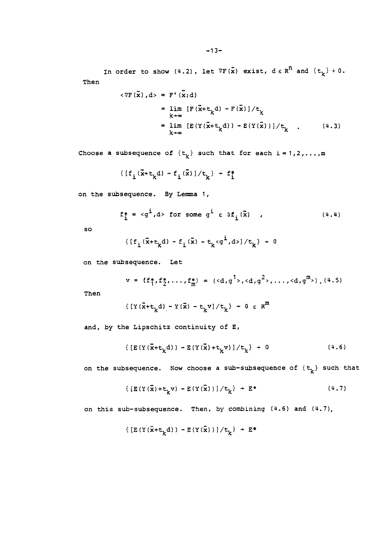In order to show (4.2), let  $\nabla F(\tilde{x})$  exist,  $d \in R^{n}$  and  $\{t_{k}\} + 0$ . Then

$$
\langle \nabla F(\overline{x}), d \rangle = F'(\overline{x}; d)
$$
  
\n
$$
= \lim_{k \to \infty} [F(\overline{x} + t_k d) - F(\overline{x})]/t_k
$$
  
\n
$$
= \lim_{k \to \infty} [E(Y(\overline{x} + t_k d)) - E(Y(\overline{x}))]/t_k
$$
 (4.3)

Choose a subsequence of  $\{t_k\}$  such that for each  $i = 1, 2, ..., m$ <br> $\{[f_i(\bar{x}+t_kd) - f_i(\bar{x})]/t_k\} + f_i^*$ 

$$
[\left[f_i(\bar{x}+t_k\mathrm{d})-f_i(\bar{x})\right]/t_k^{\phantom{+}} + f_1^*
$$

on the subsequence. By Lemma 1,

$$
f_1^* = \langle g^i, d \rangle \text{ for some } g^i \in \partial f_i(\bar{x}) \quad , \tag{4.4}
$$

so.

$$
[f_{i}(\vec{x}+t_{k}d) - f_{i}(\vec{x}) - t_{k} \langle g^{i}, d \rangle] / t_{k} \} + 0
$$

on the subsequence. Let

$$
v = \{f_{1}^{*}, f_{2}^{*}, \ldots, f_{m}^{*}\} = (\langle d, g^{1}, \langle d, g^{2}, \ldots, \langle d, g^{m} \rangle). (4.5)
$$

Then

$$
\{ \left[ Y(\vec{x} + t_k d) - Y(\vec{x}) - t_k v \right] / t_k \} \ + \ 0 \ \epsilon \ R^m
$$

and, by the Lipschitz continuity of E,

$$
\{ [E(Y(\tilde{x}+t_{k}d)) - E(Y(\tilde{x})+t_{k}v)]/t_{k} \} \ + \ 0 \qquad (4.6)
$$

on the subsequence. Now choose a sub-subsequence of  $\{t_k\}$  such that

$$
\{ [E(Y(\bar{x}) + t_{k}v) - E(Y(\bar{x}))]/t_{k} \} \rightarrow E^* \qquad (4.7)
$$

on this sub-subsequence. Then, by combining (4.6) and (4.7),

$$
\{ \left[ \mathbb{E} \left( \Upsilon \left( \bar{\mathbf{x}} + \mathbf{t}_{k} \mathrm{d} \right) \right) \, - \mathbb{E} \left( \Upsilon \left( \bar{\mathbf{x}} \right) \right) \right] / \mathbf{t}_{k} \} \; + \; \mathbb{E}^{\ast}
$$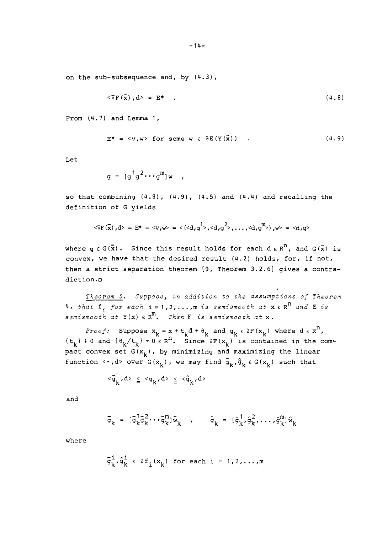on the sub-subsequence and, by (4.3) ,

$$
\langle \nabla F(\bar{x}), d \rangle = E^* \tag{4.8}
$$

From  $(4.7)$  and Lemma 1,

$$
E^* = \langle v, w \rangle \text{ for some } w \in \partial E(Y(\vec{x})) .
$$
 (4.9)

Let

$$
g = [g^1 g^2 \cdots g^m] w ,
$$

so that combining  $(4.8)$ ,  $(4.9)$ ,  $(4.5)$  and  $(4.4)$  and recalling the definition of G yields

$$
\langle \nabla F(\overline{x}), d \rangle = E^* = \langle v, w \rangle = \langle (d, g^1), (d, g^2), \dots, (d, g^m) \rangle, w \rangle = \langle d, g \rangle
$$

where  $q \in G(\bar{x})$ . Since this result holds for each  $d \in R^{n}$ , and  $G(\bar{x})$  is convex, we have that the desired result (4.2) holds, for, if not, then a strict separation theorem [9, Theorem 3.2.6] gives a contradiction .o

*Theorem 5. Suppose, in addition to zhe assumptions of Theorem*  4, that  $f_i$  for each  $i=1,2,...,m$  is semismooth at  $x \in R^n$  and  $E$  is *semismooth at* Y (x) E R~. *Then* F *is semismooth at* x.

 $Proof:$  Suppose  $x_k = x + t_k d + \theta_k$  and  $g_k \in \partial F(x_k)$  where  $d \in R^n$ ,  ${t_k}_k$  + 0 and  ${t_{k}}/t_{k}$  + 0  $\epsilon$  R<sup>11</sup>. Since  $\delta F(x_k)$  is contained in the compact convex set  $G(x_k)$ , by minimizing and maximizing the linear function <...,d> over  $G(x_k)$ , we may find  $\bar{g}_k$ ,  $\hat{g}_k \in G(x_k)$  such that

$$
\langle \bar{g}_k, d \rangle \leq \langle g_k, d \rangle \leq \langle \hat{g}_k, d \rangle
$$

and

$$
\bar{g}_{k} = [\hat{g}_{k}^{1} \hat{g}_{k}^{2} \cdots \hat{g}_{k}^{m}] \bar{w}_{k} , \qquad \hat{g}_{k} = [\hat{g}_{k}^{1}, \hat{g}_{k}^{2}, \cdots, \hat{g}_{k}^{m}] \hat{w}_{k}
$$

where

$$
\bar{g}_k^i, \hat{g}_k^i \in \partial f_i(x_k) \text{ for each } i = 1, 2, ..., m
$$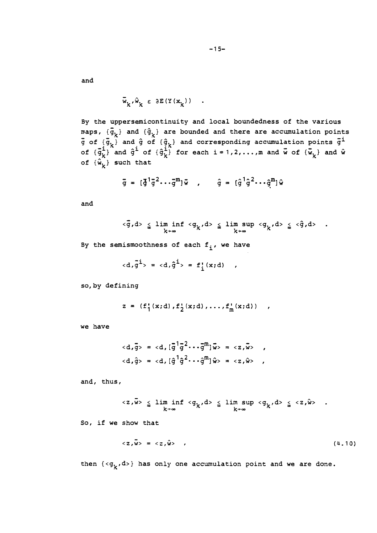and

$$
\bar{w}_k, \hat{w}_k \in \partial E(Y(x_k)) \quad .
$$

By the uppersemicontinuity and local boundedness of the various maps,  $\{\bar{g}_k\}$  and  $\{\hat{g}_k\}$  are bounded and there are accumulation points  $\overline{g}$  of  ${\overline{g}}$  and  $\overline{g}$  of  ${\overline{g}}$  and corresponding accumulation points  $\overline{g}$ <sup>i</sup> paps,  $\{\bar{g}_k\}$  and  $\{\hat{g}_k\}$  are bounded and there are accumulation points<br>j of  $\{\bar{g}_k\}$  and  $\hat{g}$  of  $\{\hat{g}_k\}$  and corresponding accumulation points  $\bar{g}^i$ <br>of  $\{\bar{g}_k^i\}$  and  $\hat{g}^i$  of  $\{\hat{g}_k^i\}$  f of  $\{\hat{\mathbf{w}}_k\}$  such that

$$
\bar{g} = [\bar{g}^1 \bar{g}^2 \cdots \bar{g}^m] \bar{w}
$$
,  $\hat{g} = [\hat{g}^1 \hat{g}^2 \cdots \hat{g}^m] \hat{w}$ 

and

$$
\langle \overline{g}, d \rangle \leq \liminf_{k \to \infty} \langle g_k, d \rangle \leq \limsup_{k \to \infty} \langle g_k, d \rangle \leq \langle \hat{g}, d \rangle .
$$

By the semismoothness of each  $f_i$ , we have

$$
\langle d, \bar{g}^{\dot{1}} \rangle = \langle d, \hat{g}^{\dot{1}} \rangle = f_{\dot{1}}^{\dagger}(x; d) ,
$$

so, by defining

$$
z = (f_1^*(x;d), f_2^*(x;d), \ldots, f_m^*(x;d)) ,
$$

we have

$$
\langle d, \bar{g} \rangle = \langle d, [\bar{g}^1 \bar{g}^2 \cdots \bar{g}^m] \bar{w} \rangle = \langle z, \bar{w} \rangle
$$
,  
 $\langle d, \hat{g} \rangle = \langle d, [\hat{g}^1 \hat{g}^2 \cdots \hat{g}^m] \hat{w} \rangle = \langle z, \hat{w} \rangle$ ,

and, thus,

$$
\langle z, \overline{w} \rangle \leq \lim_{k \to \infty} \inf \langle g_k, d \rangle \leq \lim_{k \to \infty} \sup \langle g_k, d \rangle \leq \langle z, \hat{w} \rangle .
$$

So, if we show that

$$
\langle z, \overline{w} \rangle = \langle z, \hat{w} \rangle \qquad (4.10)
$$

then  ${<}g_k,d$ >} has only one accumulation point and we are done.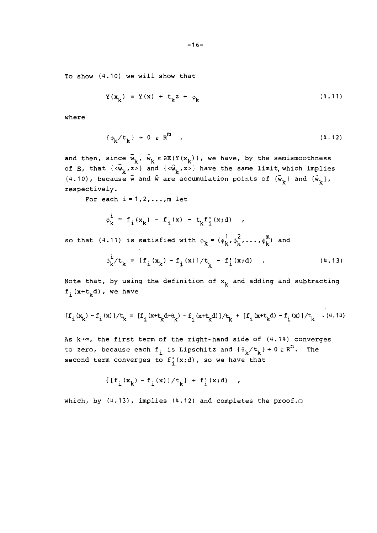To show (4.10) we will show that

$$
Y(xk) = Y(x) + tkz + \phik
$$
 (4.11)

where

$$
\{\phi_k/t_k\} \to 0 \varepsilon R^m \quad , \tag{4.12}
$$

 $\mathsf{and}$  then, since  $\overset{\_}{\mathsf{w}}_k$ ,  $\overset{\_}{\mathsf{w}}_k$   $\epsilon$   $\delta \mathtt{E}(\mathtt{Y}(\mathtt{x}_k))$ , we have, by the semismoothness of **E**, that  $\{\langle \overline{w}_k, z \rangle\}$  and  $\{\langle \hat{w}_k, z \rangle\}$  have the same limit, which implies (4.10), because  $\vec{w}$  and  $\hat{w}$  are accumulation points of  $\{\vec{w}_k\}$  and  $\{\hat{w}_k\}$ , respectively.

For each  $i = 1, 2, \ldots, m$  let

$$
\phi_k^i = f_i(x_k) - f_i(x) - t_k f'_i(x; d)
$$
,

so that (4.11) is satisfied with  $\phi_k = (\phi_k^1, \phi_k^2, \ldots, \phi_k^m)$  and

$$
\phi_{k}^{\mathbf{i}}/t_{k} = [f_{\mathbf{i}}(x_{k}) - f_{\mathbf{i}}(x)]/t_{k} - f_{\mathbf{i}}'(x; d) \quad . \tag{4.13}
$$

 $\mathcal{L}^{\text{max}}$ 

Note that, by using the definition of  $x_k$  and adding and subtracting  $f_i(x+t_kd)$ , we have

$$
[f_{\text{i}}(x_k)-f_{\text{i}}(x)]/t_k=[f_{\text{i}}(x+t_k\text{d}+\theta_k)-f_{\text{i}}(x+t_k\text{d})]/t_k+[f_{\text{i}}(x+t_k\text{d})-f_{\text{i}}(x)]/t_k\quad(4.14)
$$

As  $k+\infty$ , the first term of the right-hand side of (4.14) converges to zero, because each  $f_i$  is Lipschitz and  $\{\theta_k/t_k\} \rightarrow 0 \epsilon R^n$ . The second term converges to  $f'_{i}(x;d)$ , so we have that

$$
\{ [f_i(x_k) - f_i(x)]/t_k \} + f'_i(x; d) ,
$$

which, by  $(4.13)$ , implies  $(4.12)$  and completes the proof. $\Box$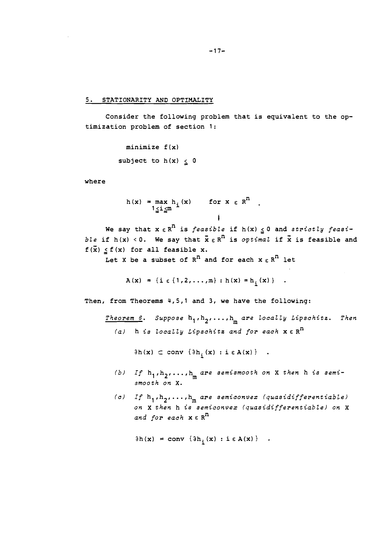5. STATIONARITY AND OPTIMALITY

Consider the following problem that is equivalent to the optimization problem of section 1:

```
minimize f (x) 
subject to h(x) < 0
```
where

 $h(x) = max h_i(x)$  for  $x \in R^{n}$ 1 zi=a **i** 

We say that  $x \in R^n$  is *feasible* if  $h(x) \leq 0$  and *strictly feasible* if  $h(x) < 0$ . We say that  $\bar{x} \in R^n$  is *optimal* if  $\bar{x}$  is feasible and  $f(\bar{x}) < f(x)$  for all feasible x.

Let X be a subset of  $R^n$  and for each  $x \in R^n$  let

 $A(x) = {i \in \{1, 2, ..., m\} : h(x) = h_i(x)}$ .

Then, from Theorems 4,5,1 and 3, we have the following:

**Theorem 6. Suppose** hl , h2,. . . , <sup>h</sup>**are locally Lipschitz. Then m la!** h **is locally Lipschitz and for each** x E R"

 $\partial h(x) \subset \text{conv } \{ \partial h_i(x) : i \in A(x) \}$  .

- (b) If  $h_1$ , $h_2$ ,..., $h_{\overline{n}}$  are semismooth on **X** then **h** is semi**smooth on X.**
- (c) If  $h_1, h_2, \ldots, h_m$  are semiconvex (quasidifferentiable) **on X then** h **is semiconvex (quasidifferentiable! on X and for each** x E R"

 $\partial h(x) = \text{conv} \{ \partial h_i(x) : i \in A(x) \}$ .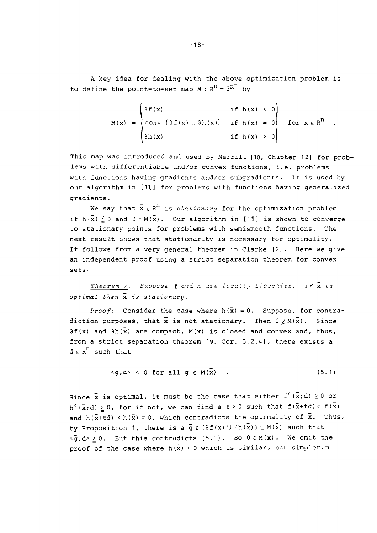A key idea for dealing with the above optimization problem is to define the point-to-set map  $M : R^{n} \rightarrow 2^{Rn}$  by

$$
M(x) = \begin{cases} \partial f(x) & \text{if } h(x) < 0 \\ \text{conv } \{ \partial f(x) \cup \partial h(x) \} & \text{if } h(x) = 0 \\ \partial h(x) & \text{if } h(x) > 0 \end{cases} \text{ for } x \in R^{n}.
$$

This map was introduced and used by Merrill [10, Chapter 12] for problems with differentiable and/or convex functions, i.e. problems with functions having gradients and/or subgradients. It is used by our algorithm in [I11 for problems with functions having generalized gradients.

We say that  $\bar{x} \in R^n$  is *stationary* for the optimization problem if  $h(\bar{x}) \leq 0$  and  $0 \in M(\bar{x})$ . Our algorithm in [11] is shown to converge to stationary points for problems with semisnooth functions. The next result shows that stationarity is necessary for optimality. It follows from a very general theorem in Clarke [2]. Here we give an independent proof using a strict separation theorem for convex sets.

*Theorem 7.* Suppose **f** and **h** are locally Lipschitz. If  $\bar{x}$  is *optimal then* x *is stationary.* 

*Proof:* Consider the case where  $h(\bar{x}) = 0$ . Suppose, for contradiction purposes, that  $\bar{x}$  is not stationary. Then  $0 \notin M(\bar{x})$ . Since  $\partial f(\bar{x})$  and  $\partial h(\bar{x})$  are compact,  $M(\bar{x})$  is closed and convex and, thus, from a strict separation theorem [9, Cor. 3.2.4], there exists a  $d \varepsilon R^{n}$  such that

$$
\langle g, d \rangle
$$
 < 0 for all  $g \in M(\vec{x})$ . (5.1)

Since  $\bar{x}$  is optimal, it must be the case that either  $f^0(\bar{x};d) \geq 0$  or  $h^{0}(\vec{x};d) \geq 0$ , for if not, we can find a t > 0 such that  $f(\vec{x}+td) < f(\vec{x})$ and  $h(\bar{x}+td) < h(\bar{x}) = 0$ , which contradicts the optimality of  $\bar{x}$ . Thus, by Proposition 1, there is a  $\bar{g} \in (\partial f(\bar{x}) \cup \partial h(\bar{x})) \subset M(\bar{x})$  such that by Proposition 1, there is a g  $\varepsilon$  (df(x)  $\cup$  dn(x))  $\subset$  M(x) such that<br><g,d>  $\geq$  0. But this contradicts (5.1). So 0  $\varepsilon$  M(x). We omit the proof of the case where  $h(\bar{x}) \leq 0$  which is similar, but simpler.

 $-18-$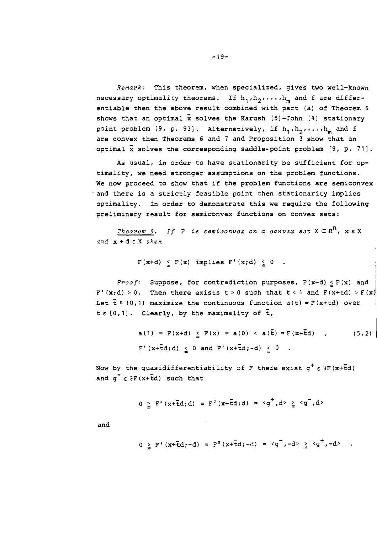*Remark:* This theorem, when specialized, gives two well-known necessary optimality theorems. If  $h_1, h_2, \ldots, h_m$  and f are differentiable then the above result combined with part (a) of Theorem 6 shows that an optimal x solves the Karush [5]-John **[4]** stationary point problem [9, p. 93]. Alternatively, if  $h_1, h_2, \ldots, h_m$  and f are convex then Theorems 6 and 7 and Proposition 3 show that an optimal x solves the corresponding saddle-point problem [9, p. 71].

As usual, in order to have stationarity be sufficient for optimality, we need stronger assumptions on the problem functions. We now proceed to show that if the problem functions are semiconvex and there is a strictly feasible point then stationarity implies optimality. In order to demonstrate this we require the following preliminary result for semiconvex functions on convex sets:

 $Theorem 8.$  If  $F$  is semiconvex on a convex set  $X \subseteq R^n$ ,  $x \in X$ *and* x + d E X *then* 

$$
F(x+d) \leq F(x) \text{ implies } F'(x;d) \leq 0.
$$

*Proof:* Suppose, for contradiction purposes, F (x+d) **2** F (x) and F' (x;d) > 0. Then there exists t > 0 such that t < 1 and  $F(x+td)$  >  $F(x)$ Let  $\bar{t} \in (0,1)$  maximize the continuous function  $a(t) = F(x+td)$  over  $t \in [0, 1]$ . Clearly, by the maximality of  $\bar{t}$ ,

$$
a(1) = F(x+d) \leq F(x) = a(0) < a(\bar{t}) = F(x+\bar{t}d) \quad , \tag{5.2}
$$
\n
$$
F'(x+\bar{t}d; d) \leq 0 \text{ and } F'(x+\bar{t}d; -d) \leq 0 \quad .
$$

Now by the quasidifferentiability of F there exist  $g^+ \varepsilon$   $\partial F (x+\bar{t}d)$ and  $g^{-} \epsilon \partial F(x+\bar{t}d)$  such that

$$
0 > F'(x + \bar{t}d; d) = F^{0}(x + \bar{t}d; d) = \langle g^{\dagger}, d \rangle \geq \langle g^{\dagger}, d \rangle
$$

and

$$
0 \ge F'(x + \bar{t}d; -d) = F^{0}(x + \bar{t}d; -d) = \langle g^{-}, -d \rangle \ge \langle g^{-}, -d \rangle
$$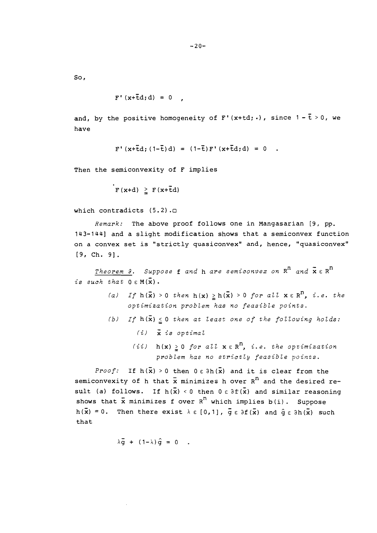$So.$ 

 $F'(x+\bar{t}d; d) = 0$ 

and, by the positive homogeneity of  $\texttt{F}'\left(\texttt{x+td}:\texttt{.}\right)$  , since 1 –  $\texttt{\~t}$  > 0, we have

 $F'(x+\bar{t}d;(1-\bar{t})d) = (1-\bar{t})F'(x+\bar{t}d;d) = 0$ .

Then the semiconvexity of F implies

 $\mathbf{F}(\mathbf{x}+\mathbf{d}) \geq \mathbf{F}(\mathbf{x}+\mathbf{\bar{t}}\mathbf{d})$ 

which contradicts  $(5.2)$ . $\Box$ 

*Remark:* The above proof follows one in Mangasarian [9, pp. 143-1441 and a slight modification shows that a semiconvex function on a convex set is "strictly quasiconvex" and, hence, "quasiconvex" [9, Ch. 91.

*Theorem 3.* Suppose  $f$  and  $h$  are semiconvex on  $R^n$  and  $\bar{x} \in R^n$ *is such that*  $0 \in M(\bar{x})$ .

- *(a)* If  $h(\bar{x}) > 0$  then  $h(x) \geq h(\bar{x}) > 0$  for all  $x \in R^{D}$ , *i.e. the optimization problem has no feasible points.*
- *(b)* If  $h(\bar{x}) \le 0$  *then at least one of the following holds: (i) is optimal* 
	- *(ii)*  $h(x) \ge 0$  *for all*  $x \in R^n$ , *i.e. the optimization problem has no strictly feasible points.*

*Proof:* If  $h(\bar{x}) > 0$  then  $0 \in \partial h(\bar{x})$  and it is clear from the semiconvexity of h that  $\bar{x}$  minimizes h over  $R^{\bar{n}}$  and the desired result (a) follows. If  $h(\bar{x}) \leq 0$  then  $0 \in \partial f(\bar{x})$  and similar reasoning shows that  $\bar{x}$  minimizes f over  $R^{n}$  which implies b(i). Suppose  $h(\bar{x}) = 0$ . Then there exist  $\lambda \in [0,1]$ ,  $\bar{g} \in \partial f(\bar{x})$  and  $\hat{g} \in \partial h(\bar{x})$  such that

 $\lambda \vec{q}$  +  $(1-\lambda)\hat{q}$  = 0.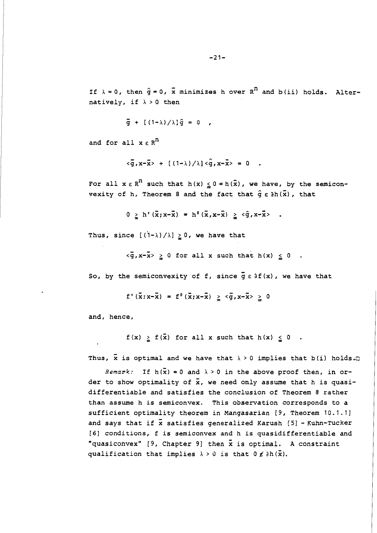If  $\lambda = 0$ , then  $\hat{g} = 0$ ,  $\bar{x}$  minimizes h over  $R^T$  and  $b$  (ii) holds. Alternatively, if  $\lambda > 0$  then

$$
\vec{g} + [(1-\lambda)/\lambda] \hat{g} = 0 ,
$$

and for all  $x \in R^n$ 

$$
\langle \overline{g}, x-\overline{x}\rangle + [(1-\lambda)/\lambda] \langle \hat{g}, x-\overline{x}\rangle = 0.
$$

For all  $x \in R^n$  such that  $h(x) \le 0 = h(\bar{x})$ , we have, by the semiconvexity of h, Theorem 8 and the fact that  $\hat{g} \in \partial h(\vec{x})$ , that

 $0 \ge h'(\tilde{x}; x-\tilde{x}) = h^{0}(\tilde{x}, x-\tilde{x}) \ge \langle \hat{g}, x-\tilde{x} \rangle$ .

Thus, since  $[(1-\lambda)/\lambda] \geq 0$ , we have that

 $\langle \overline{g}, x-\overline{x}\rangle \ge 0$  for all x such that h(x)  $\le 0$ .

So, by the semiconvexity of f, since  $\bar{g} \in \partial f(x)$ , we have that

 $f'(\bar{x};x-\bar{x}) = f^{0}(\bar{x};x-\bar{x}) \ge \langle \bar{g}, x-\bar{x} \rangle \ge 0$ 

and, hence,

 $f(x) \geq f(\bar{x})$  for all x such that  $h(x) \leq 0$ .

Thus, x is optimal and we have that  $\lambda > 0$  implies that b(i) holds.

Remark: If  $h(\bar{x}) = 0$  and  $\lambda > 0$  in the above proof then, in order to show optimality of  $\bar{x}$ , we need only assume that h is quasidifferentiable and satisfies the conclusion of Theorem **8** rather than assume h is semiconvex. This observation corresponds to a sufficient optimality theorem in Mangasarian [9, Theorem 10.1.11 and says that if  $\bar{x}$  satisfies generalized Karush [5] - Kuhn-Tucker **I61** conditions, f is semiconvex and h is quasidifferentiable and "quasiconvex" [9, Chapter 9] then  $\bar{x}$  is optimal. A constraint qualification that implies  $\lambda > 0$  is that  $0 \notin \partial h(\vec{x})$ .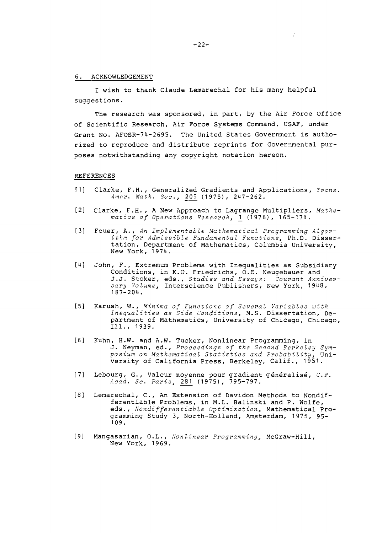#### 6. ACKNOWLEDGEMENT

I wish to thank Claude Lemarechal for his many helpful suggestions.

The research was sponsored, in part, by the Air Force Office of Scientific Research, Air Force Systems Command, USAF, under Grant No. AFOSR-74-2695. The United States Government is authorized to reproduce and distribute reprints for Governmental purposes notwithstanding any copyright notation hereon.

#### REFERENCES

- [l] Clarke, F.H., Generalized Gradients and Applications, **Trans.**  Amer. Math. Soc., 205 (1975), 247-262.
- [2] Clarke, F.H., A New Approach to Lagrange Multipliers, **Mathematics of Operations Research,** 1 (1976), 165-174.
- [3] Feuer, A., **An Implementable Mathemarical Programming Algorithm for Admissible Fundamental Functions,** Ph.D. Dissertation, Department of Mathematics, Columbia University, New York, 1974.
- [b] John, F., Extremum Problems with Inequalities as Subsidiary Conditions, in K.O. Friedrichs, O.E. Neugebauer and J.J. Stoker, eds., Studies and Essays: Courant Anniver**sary Volume,** Interscience Publishers, New York, 1948, 187-204.
- [5] Karush, W., Minima of Functions of Several Variables with **Inequalities as Side c'onditions,** M.S. Dissertation, Department of Mathematics, University of Chicago, Chicago, Ill.. 1939.
- [6] Kuhn, H.W. and A.W. Tucker, Nonlinear Programming, in J. Neyman, ed., **Proceedings of the Second Berkeley Symposium on Mathematical Statistics and Probability,** University of California Press, Berkeley, Calif., 1951.
- [7] Lebourg, G., Valeur moyenne pour gradient généralisé,  $C.R.$ **Aczd. Sc. Paris,** *281* (19751, 795-797.
- [81 Lemarechal, C., An Extension of Davidon Methods to Nondifferentiable Problems, in M.L. Balinski and P. Wolfe, eds., **Nondifferentiable Optimization,** Mathematical Programming Study 3, North-Holland, Amsterdam, 1975, 95- 109.
- 191 Mangasarian, 0. L., **monlinear Programming,** McGraw-Hill, New York, 1969.